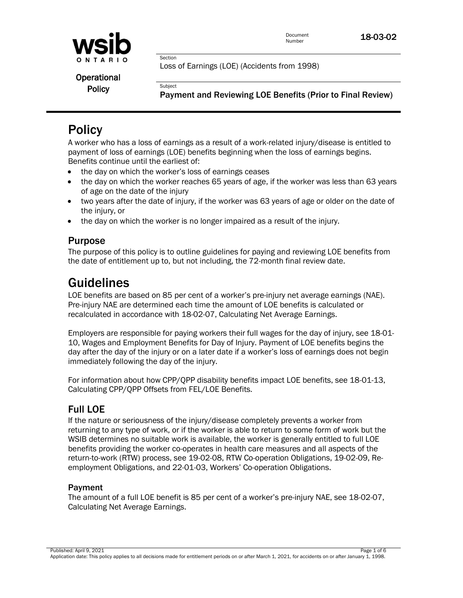

Loss of Earnings (LOE) (Accidents from 1998)

Operational **Policy** 

Payment and Reviewing LOE Benefits (Prior to Final Review)

# **Policy**

A worker who has a loss of earnings as a result of a work-related injury/disease is entitled to payment of loss of earnings (LOE) benefits beginning when the loss of earnings begins. Benefits continue until the earliest of:

• the day on which the worker's loss of earnings ceases

Section

**Subject** 

- the day on which the worker reaches 65 years of age, if the worker was less than 63 years of age on the date of the injury
- two years after the date of injury, if the worker was 63 years of age or older on the date of the injury, or
- the day on which the worker is no longer impaired as a result of the injury.

## Purpose

The purpose of this policy is to outline guidelines for paying and reviewing LOE benefits from the date of entitlement up to, but not including, the 72-month final review date.

## Guidelines

LOE benefits are based on 85 per cent of a worker's pre-injury net average earnings (NAE). Pre-injury NAE are determined each time the amount of LOE benefits is calculated or recalculated in accordance with 18-02-07, Calculating Net Average Earnings.

Employers are responsible for paying workers their full wages for the day of injury, see 18-01- 10, Wages and Employment Benefits for Day of Injury. Payment of LOE benefits begins the day after the day of the injury or on a later date if a worker's loss of earnings does not begin immediately following the day of the injury.

For information about how CPP/QPP disability benefits impact LOE benefits, see 18-01-13, Calculating CPP/QPP Offsets from FEL/LOE Benefits.

## Full LOE

If the nature or seriousness of the injury/disease completely prevents a worker from returning to any type of work, or if the worker is able to return to some form of work but the WSIB determines no suitable work is available, the worker is generally entitled to full LOE benefits providing the worker co-operates in health care measures and all aspects of the return-to-work (RTW) process, see 19-02-08, RTW Co-operation Obligations, 19-02-09, Reemployment Obligations, and 22-01-03, Workers' Co-operation Obligations.

#### Payment

The amount of a full LOE benefit is 85 per cent of a worker's pre-injury NAE, see 18-02-07, Calculating Net Average Earnings.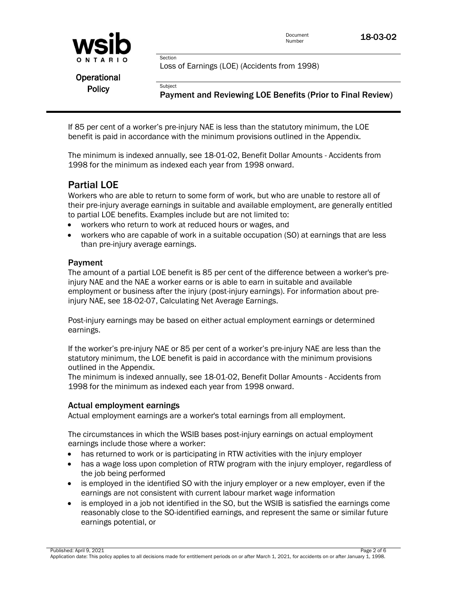

If 85 per cent of a worker's pre-injury NAE is less than the statutory minimum, the LOE benefit is paid in accordance with the minimum provisions outlined in the Appendix.

The minimum is indexed annually, see 18-01-02, Benefit Dollar Amounts - Accidents from 1998 for the minimum as indexed each year from 1998 onward.

## Partial LOE

Workers who are able to return to some form of work, but who are unable to restore all of their pre-injury average earnings in suitable and available employment, are generally entitled to partial LOE benefits. Examples include but are not limited to:

- workers who return to work at reduced hours or wages, and
- workers who are capable of work in a suitable occupation (SO) at earnings that are less than pre-injury average earnings.

#### Payment

The amount of a partial LOE benefit is 85 per cent of the difference between a worker's preinjury NAE and the NAE a worker earns or is able to earn in suitable and available employment or business after the injury (post-injury earnings). For information about preinjury NAE, see 18-02-07, Calculating Net Average Earnings.

Post-injury earnings may be based on either actual employment earnings or determined earnings.

If the worker's pre-injury NAE or 85 per cent of a worker's pre-injury NAE are less than the statutory minimum, the LOE benefit is paid in accordance with the minimum provisions outlined in the Appendix.

The minimum is indexed annually, see 18-01-02, Benefit Dollar Amounts - Accidents from 1998 for the minimum as indexed each year from 1998 onward.

#### Actual employment earnings

Actual employment earnings are a worker's total earnings from all employment.

The circumstances in which the WSIB bases post-injury earnings on actual employment earnings include those where a worker:

- has returned to work or is participating in RTW activities with the injury employer
- has a wage loss upon completion of RTW program with the injury employer, regardless of the job being performed
- is employed in the identified SO with the injury employer or a new employer, even if the earnings are not consistent with current labour market wage information
- is employed in a job not identified in the SO, but the WSIB is satisfied the earnings come reasonably close to the SO-identified earnings, and represent the same or similar future earnings potential, or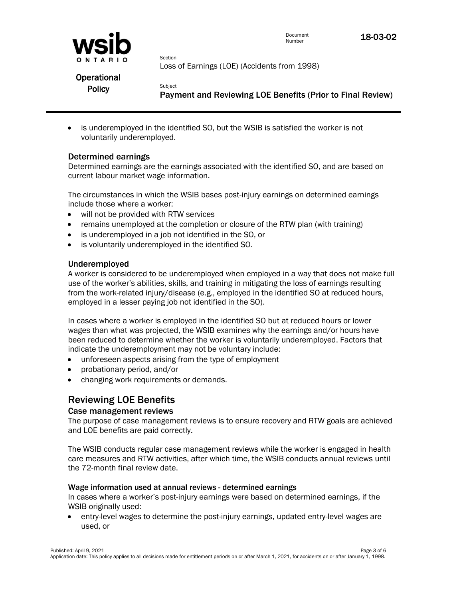

Loss of Earnings (LOE) (Accidents from 1998)

Operational **Policy** 

Payment and Reviewing LOE Benefits (Prior to Final Review)

 is underemployed in the identified SO, but the WSIB is satisfied the worker is not voluntarily underemployed.

#### Determined earnings

Determined earnings are the earnings associated with the identified SO, and are based on current labour market wage information.

The circumstances in which the WSIB bases post-injury earnings on determined earnings include those where a worker:

- will not be provided with RTW services
- remains unemployed at the completion or closure of the RTW plan (with training)
- is underemployed in a job not identified in the SO, or

Section

**Subject** 

is voluntarily underemployed in the identified SO.

#### Underemployed

A worker is considered to be underemployed when employed in a way that does not make full use of the worker's abilities, skills, and training in mitigating the loss of earnings resulting from the work-related injury/disease (e.g., employed in the identified SO at reduced hours, employed in a lesser paying job not identified in the SO).

In cases where a worker is employed in the identified SO but at reduced hours or lower wages than what was projected, the WSIB examines why the earnings and/or hours have been reduced to determine whether the worker is voluntarily underemployed. Factors that indicate the underemployment may not be voluntary include:

- unforeseen aspects arising from the type of employment
- probationary period, and/or
- changing work requirements or demands.

## Reviewing LOE Benefits

#### Case management reviews

The purpose of case management reviews is to ensure recovery and RTW goals are achieved and LOE benefits are paid correctly.

The WSIB conducts regular case management reviews while the worker is engaged in health care measures and RTW activities, after which time, the WSIB conducts annual reviews until the 72-month final review date.

#### Wage information used at annual reviews - determined earnings

In cases where a worker's post-injury earnings were based on determined earnings, if the WSIB originally used:

 entry-level wages to determine the post-injury earnings, updated entry-level wages are used, or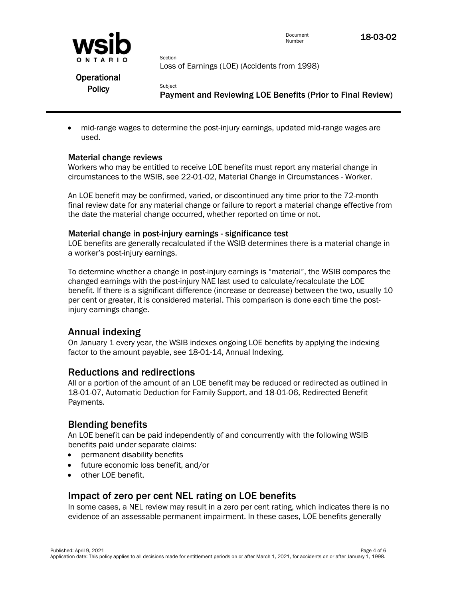

Document

Document **18-03-02** 

Loss of Earnings (LOE) (Accidents from 1998)

Operational **Policy** 

Payment and Reviewing LOE Benefits (Prior to Final Review)

 mid-range wages to determine the post-injury earnings, updated mid-range wages are used.

#### Material change reviews

Workers who may be entitled to receive LOE benefits must report any material change in circumstances to the WSIB, see [22-01-02, Material Change in Circumstances -](http://www.wsib.on.ca/WSIBPortal/faces/WSIBManualPage?cGUID=22-01-02&rDef=WSIB_RD_OPM&fGUID=835502100635000534) Worker.

An LOE benefit may be confirmed, varied, or discontinued any time prior to the 72-month final review date for any material change or failure to report a material change effective from the date the material change occurred, whether reported on time or not.

#### Material change in post-injury earnings - significance test

Section

**Subject** 

LOE benefits are generally recalculated if the WSIB determines there is a material change in a worker's post-injury earnings.

To determine whether a change in post-injury earnings is "material", the WSIB compares the changed earnings with the post-injury NAE last used to calculate/recalculate the LOE benefit. If there is a significant difference (increase or decrease) between the two, usually 10 per cent or greater, it is considered material. This comparison is done each time the postinjury earnings change.

## Annual indexing

On January 1 every year, the WSIB indexes ongoing LOE benefits by applying the indexing factor to the amount payable, see 18-01-14, Annual Indexing.

#### Reductions and redirections

All or a portion of the amount of an LOE benefit may be reduced or redirected as outlined in 18-01-07, Automatic Deduction for Family Support, and 18-01-06, Redirected Benefit Payments.

## Blending benefits

An LOE benefit can be paid independently of and concurrently with the following WSIB benefits paid under separate claims:

- permanent disability benefits
- future economic loss benefit, and/or
- other LOE benefit.

## Impact of zero per cent NEL rating on LOE benefits

In some cases, a NEL review may result in a zero per cent rating, which indicates there is no evidence of an assessable permanent impairment. In these cases, LOE benefits generally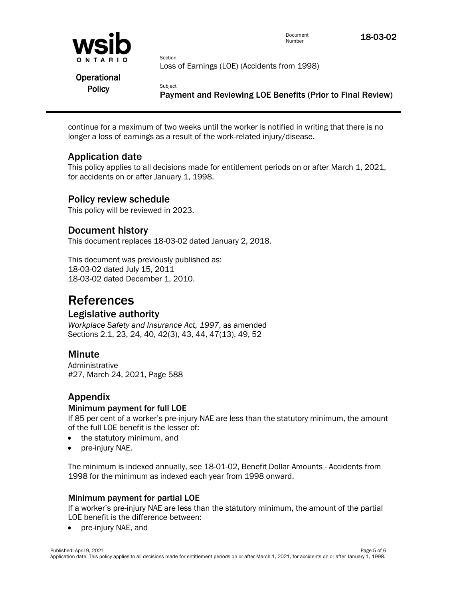

continue for a maximum of two weeks until the worker is notified in writing that there is no longer a loss of earnings as a result of the work-related injury/disease.

## Application date

This policy applies to all decisions made for entitlement periods on or after March 1, 2021, for accidents on or after January 1, 1998.

#### Policy review schedule

This policy will be reviewed in 2023.

## Document history

This document replaces 18-03-02 dated January 2, 2018.

This document was previously published as: 18-03-02 dated July 15, 2011 18-03-02 dated December 1, 2010.

## References

## Legislative authority

*Workplace Safety and Insurance Act, 1997*, as amended Sections 2.1, 23, 24, 40, 42(3), 43, 44, 47(13), 49, 52

## **Minute**

Administrative #27, March 24, 2021, Page 588

## Appendix

#### Minimum payment for full LOE

If 85 per cent of a worker's pre-injury NAE are less than the statutory minimum, the amount of the full LOE benefit is the lesser of:

- the statutory minimum, and
- pre-injury NAE.

The minimum is indexed annually, see 18-01-02, Benefit Dollar Amounts - Accidents from 1998 for the minimum as indexed each year from 1998 onward.

#### Minimum payment for partial LOE

If a worker's pre-injury NAE are less than the statutory minimum, the amount of the partial LOE benefit is the difference between:

• pre-injury NAE, and